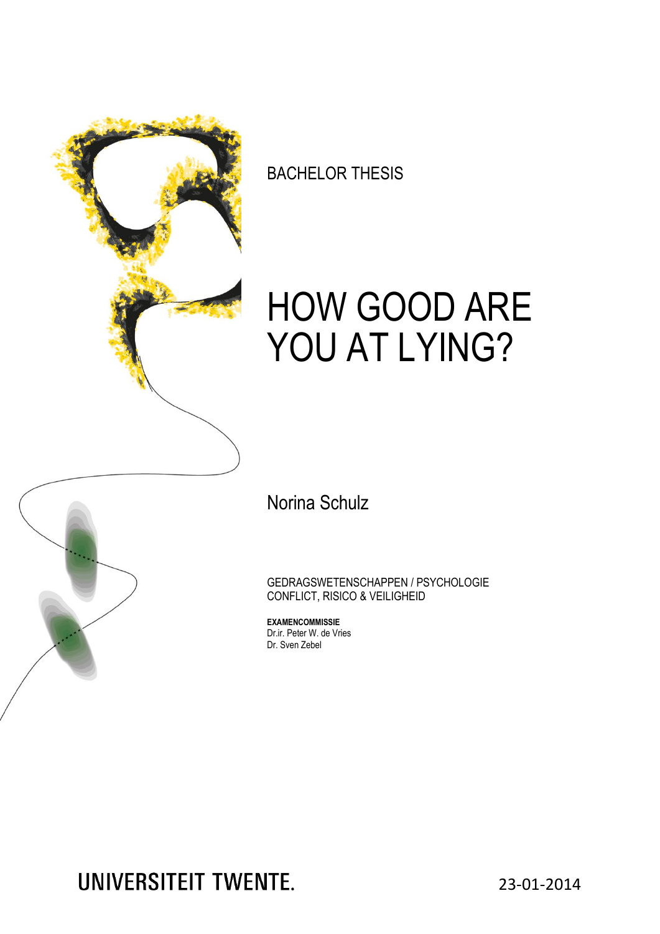

BACHELOR THESIS

# HOW GOOD ARE YOU AT LYING?



GEDRAGSWETENSCHAPPEN / PSYCHOLOGIE CONFLICT, RISICO & VEILIGHEID

**EXAMENCOMMISSIE** Dr.ir. Peter W. de Vries Dr. Sven Zebel

**UNIVERSITEIT TWENTE.** 

23-01-2014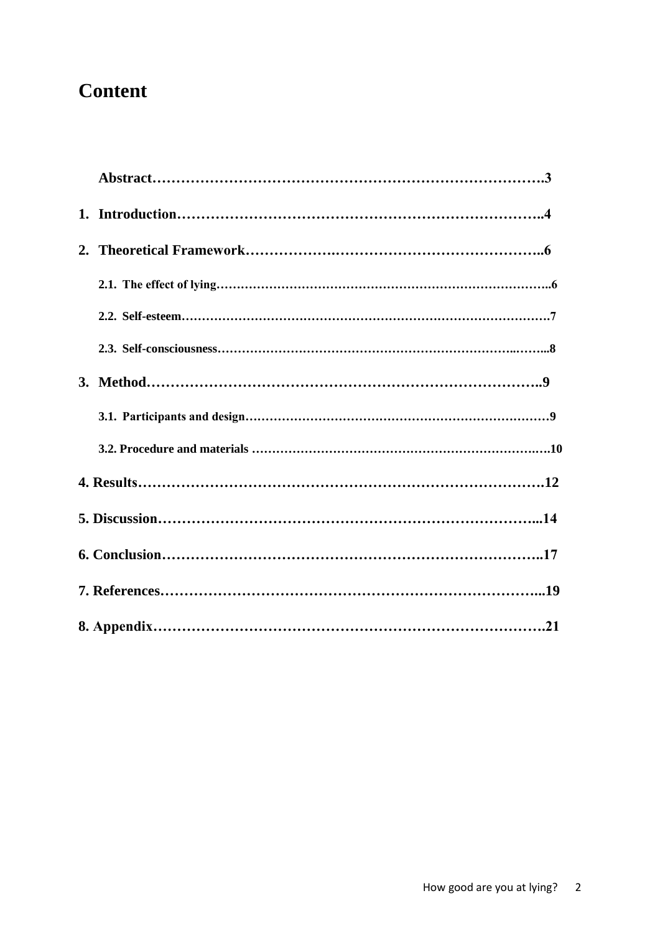## **Content**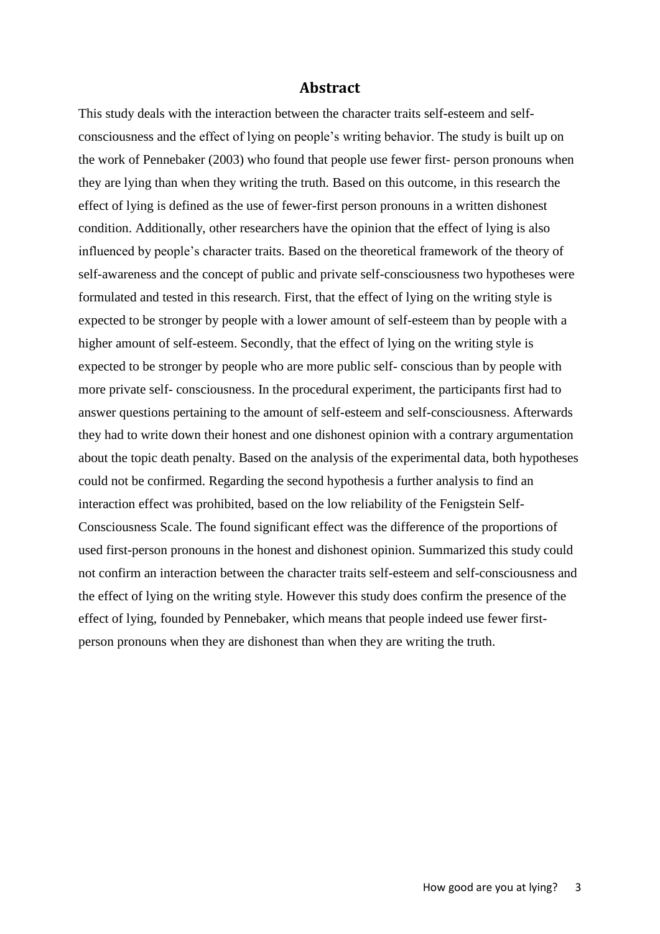#### **Abstract**

This study deals with the interaction between the character traits self-esteem and selfconsciousness and the effect of lying on people's writing behavior. The study is built up on the work of Pennebaker (2003) who found that people use fewer first- person pronouns when they are lying than when they writing the truth. Based on this outcome, in this research the effect of lying is defined as the use of fewer-first person pronouns in a written dishonest condition. Additionally, other researchers have the opinion that the effect of lying is also influenced by people's character traits. Based on the theoretical framework of the theory of self-awareness and the concept of public and private self-consciousness two hypotheses were formulated and tested in this research. First, that the effect of lying on the writing style is expected to be stronger by people with a lower amount of self-esteem than by people with a higher amount of self-esteem. Secondly, that the effect of lying on the writing style is expected to be stronger by people who are more public self- conscious than by people with more private self- consciousness. In the procedural experiment, the participants first had to answer questions pertaining to the amount of self-esteem and self-consciousness. Afterwards they had to write down their honest and one dishonest opinion with a contrary argumentation about the topic death penalty. Based on the analysis of the experimental data, both hypotheses could not be confirmed. Regarding the second hypothesis a further analysis to find an interaction effect was prohibited, based on the low reliability of the Fenigstein Self-Consciousness Scale. The found significant effect was the difference of the proportions of used first-person pronouns in the honest and dishonest opinion. Summarized this study could not confirm an interaction between the character traits self-esteem and self-consciousness and the effect of lying on the writing style. However this study does confirm the presence of the effect of lying, founded by Pennebaker, which means that people indeed use fewer firstperson pronouns when they are dishonest than when they are writing the truth.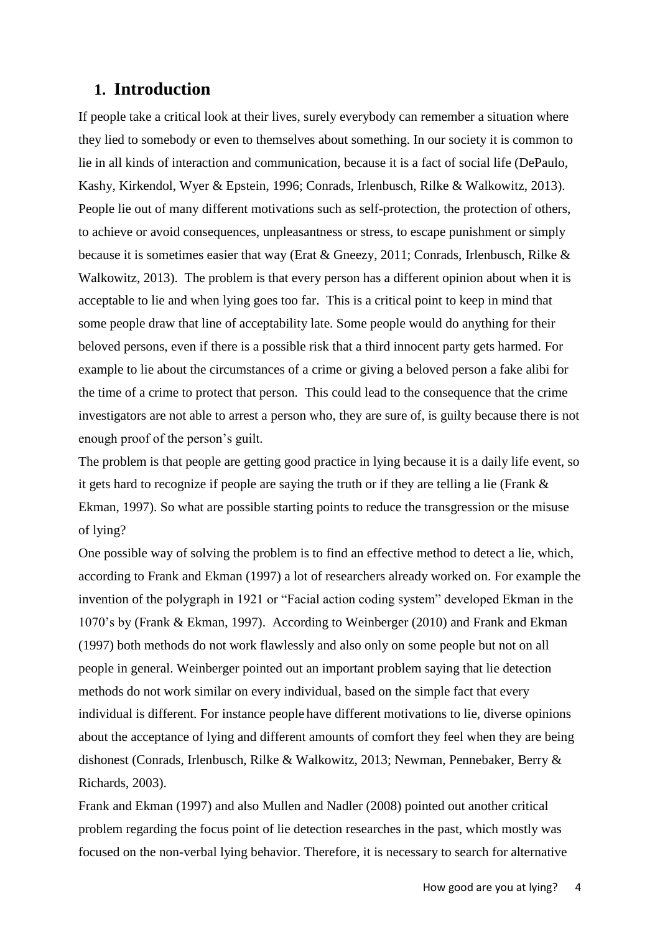## **1. Introduction**

If people take a critical look at their lives, surely everybody can remember a situation where they lied to somebody or even to themselves about something. In our society it is common to lie in all kinds of interaction and communication, because it is a fact of social life (DePaulo, Kashy, Kirkendol, Wyer & Epstein, 1996; Conrads, Irlenbusch, Rilke & Walkowitz, 2013). People lie out of many different motivations such as self-protection, the protection of others, to achieve or avoid consequences, unpleasantness or stress, to escape punishment or simply because it is sometimes easier that way (Erat & Gneezy, 2011; Conrads, Irlenbusch, Rilke & Walkowitz, 2013). The problem is that every person has a different opinion about when it is acceptable to lie and when lying goes too far. This is a critical point to keep in mind that some people draw that line of acceptability late. Some people would do anything for their beloved persons, even if there is a possible risk that a third innocent party gets harmed. For example to lie about the circumstances of a crime or giving a beloved person a fake alibi for the time of a crime to protect that person. This could lead to the consequence that the crime investigators are not able to arrest a person who, they are sure of, is guilty because there is not enough proof of the person's guilt.

The problem is that people are getting good practice in lying because it is a daily life event, so it gets hard to recognize if people are saying the truth or if they are telling a lie (Frank & Ekman, 1997). So what are possible starting points to reduce the transgression or the misuse of lying?

One possible way of solving the problem is to find an effective method to detect a lie, which, according to Frank and Ekman (1997) a lot of researchers already worked on. For example the invention of the polygraph in 1921 or "Facial action coding system" developed Ekman in the 1070's by (Frank & Ekman, 1997). According to Weinberger (2010) and Frank and Ekman (1997) both methods do not work flawlessly and also only on some people but not on all people in general. Weinberger pointed out an important problem saying that lie detection methods do not work similar on every individual, based on the simple fact that every individual is different. For instance people have different motivations to lie, diverse opinions about the acceptance of lying and different amounts of comfort they feel when they are being dishonest (Conrads, Irlenbusch, Rilke & Walkowitz, 2013; Newman, Pennebaker, Berry & Richards, 2003).

Frank and Ekman (1997) and also Mullen and Nadler (2008) pointed out another critical problem regarding the focus point of lie detection researches in the past, which mostly was focused on the non-verbal lying behavior. Therefore, it is necessary to search for alternative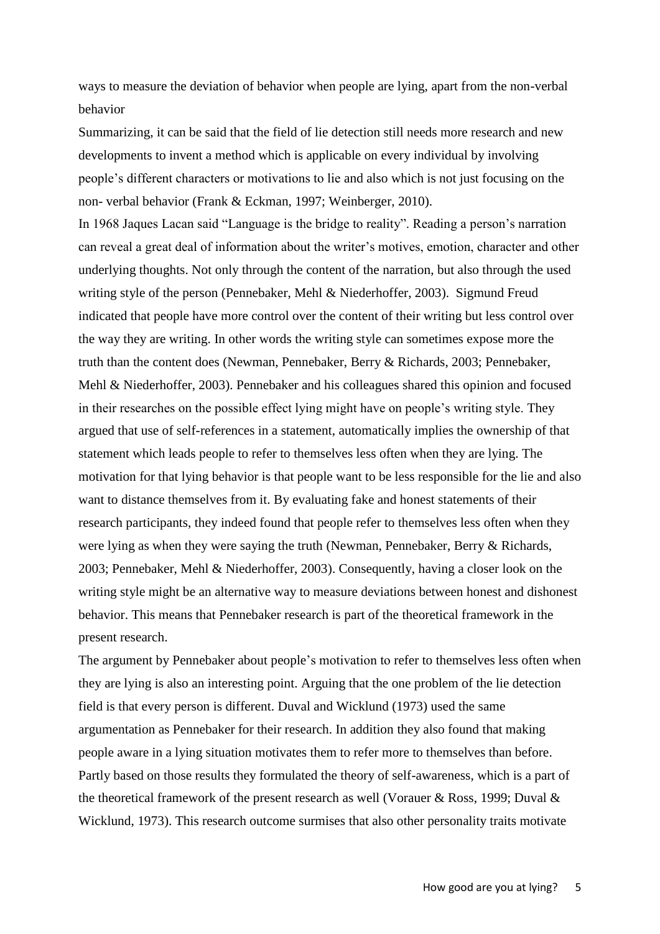ways to measure the deviation of behavior when people are lying, apart from the non-verbal behavior

Summarizing, it can be said that the field of lie detection still needs more research and new developments to invent a method which is applicable on every individual by involving people's different characters or motivations to lie and also which is not just focusing on the non- verbal behavior (Frank & Eckman, 1997; Weinberger, 2010).

In 1968 Jaques Lacan said "Language is the bridge to reality". Reading a person's narration can reveal a great deal of information about the writer's motives, emotion, character and other underlying thoughts. Not only through the content of the narration, but also through the used writing style of the person (Pennebaker, Mehl & Niederhoffer, 2003). Sigmund Freud indicated that people have more control over the content of their writing but less control over the way they are writing. In other words the writing style can sometimes expose more the truth than the content does (Newman, Pennebaker, Berry & Richards, 2003; Pennebaker, Mehl & Niederhoffer, 2003). Pennebaker and his colleagues shared this opinion and focused in their researches on the possible effect lying might have on people's writing style. They argued that use of self-references in a statement, automatically implies the ownership of that statement which leads people to refer to themselves less often when they are lying. The motivation for that lying behavior is that people want to be less responsible for the lie and also want to distance themselves from it. By evaluating fake and honest statements of their research participants, they indeed found that people refer to themselves less often when they were lying as when they were saying the truth (Newman, Pennebaker, Berry & Richards, 2003; Pennebaker, Mehl & Niederhoffer, 2003). Consequently, having a closer look on the writing style might be an alternative way to measure deviations between honest and dishonest behavior. This means that Pennebaker research is part of the theoretical framework in the present research.

The argument by Pennebaker about people's motivation to refer to themselves less often when they are lying is also an interesting point. Arguing that the one problem of the lie detection field is that every person is different. Duval and Wicklund (1973) used the same argumentation as Pennebaker for their research. In addition they also found that making people aware in a lying situation motivates them to refer more to themselves than before. Partly based on those results they formulated the theory of self-awareness, which is a part of the theoretical framework of the present research as well (Vorauer & Ross, 1999; Duval & Wicklund, 1973). This research outcome surmises that also other personality traits motivate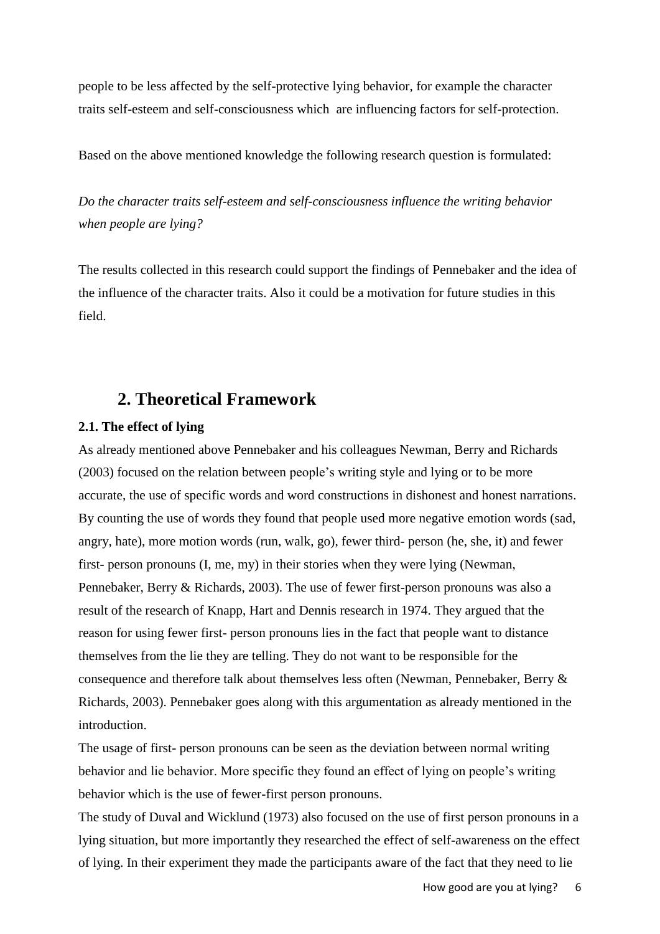people to be less affected by the self-protective lying behavior, for example the character traits self-esteem and self-consciousness which are influencing factors for self-protection.

Based on the above mentioned knowledge the following research question is formulated:

*Do the character traits self-esteem and self-consciousness influence the writing behavior when people are lying?* 

The results collected in this research could support the findings of Pennebaker and the idea of the influence of the character traits. Also it could be a motivation for future studies in this field.

## **2. Theoretical Framework**

#### **2.1. The effect of lying**

As already mentioned above Pennebaker and his colleagues Newman, Berry and Richards (2003) focused on the relation between people's writing style and lying or to be more accurate, the use of specific words and word constructions in dishonest and honest narrations. By counting the use of words they found that people used more negative emotion words (sad, angry, hate), more motion words (run, walk, go), fewer third- person (he, she, it) and fewer first- person pronouns (I, me, my) in their stories when they were lying (Newman, Pennebaker, Berry & Richards, 2003). The use of fewer first-person pronouns was also a result of the research of Knapp, Hart and Dennis research in 1974. They argued that the reason for using fewer first- person pronouns lies in the fact that people want to distance themselves from the lie they are telling. They do not want to be responsible for the consequence and therefore talk about themselves less often (Newman, Pennebaker, Berry & Richards, 2003). Pennebaker goes along with this argumentation as already mentioned in the introduction.

The usage of first- person pronouns can be seen as the deviation between normal writing behavior and lie behavior. More specific they found an effect of lying on people's writing behavior which is the use of fewer-first person pronouns.

The study of Duval and Wicklund (1973) also focused on the use of first person pronouns in a lying situation, but more importantly they researched the effect of self-awareness on the effect of lying. In their experiment they made the participants aware of the fact that they need to lie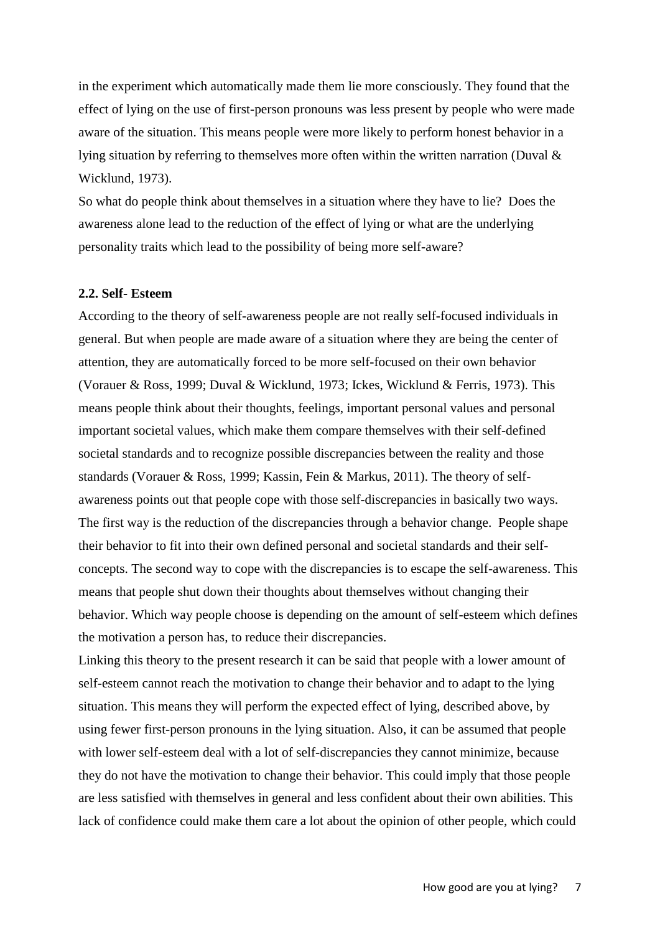in the experiment which automatically made them lie more consciously. They found that the effect of lying on the use of first-person pronouns was less present by people who were made aware of the situation. This means people were more likely to perform honest behavior in a lying situation by referring to themselves more often within the written narration (Duval & Wicklund, 1973).

So what do people think about themselves in a situation where they have to lie? Does the awareness alone lead to the reduction of the effect of lying or what are the underlying personality traits which lead to the possibility of being more self-aware?

#### **2.2. Self- Esteem**

According to the theory of self-awareness people are not really self-focused individuals in general. But when people are made aware of a situation where they are being the center of attention, they are automatically forced to be more self-focused on their own behavior (Vorauer & Ross, 1999; Duval & Wicklund, 1973; Ickes, Wicklund & Ferris, 1973). This means people think about their thoughts, feelings, important personal values and personal important societal values, which make them compare themselves with their self-defined societal standards and to recognize possible discrepancies between the reality and those standards (Vorauer & Ross, 1999; Kassin, Fein & Markus, 2011). The theory of selfawareness points out that people cope with those self-discrepancies in basically two ways. The first way is the reduction of the discrepancies through a behavior change. People shape their behavior to fit into their own defined personal and societal standards and their selfconcepts. The second way to cope with the discrepancies is to escape the self-awareness. This means that people shut down their thoughts about themselves without changing their behavior. Which way people choose is depending on the amount of self-esteem which defines the motivation a person has, to reduce their discrepancies.

Linking this theory to the present research it can be said that people with a lower amount of self-esteem cannot reach the motivation to change their behavior and to adapt to the lying situation. This means they will perform the expected effect of lying, described above, by using fewer first-person pronouns in the lying situation. Also, it can be assumed that people with lower self-esteem deal with a lot of self-discrepancies they cannot minimize, because they do not have the motivation to change their behavior. This could imply that those people are less satisfied with themselves in general and less confident about their own abilities. This lack of confidence could make them care a lot about the opinion of other people, which could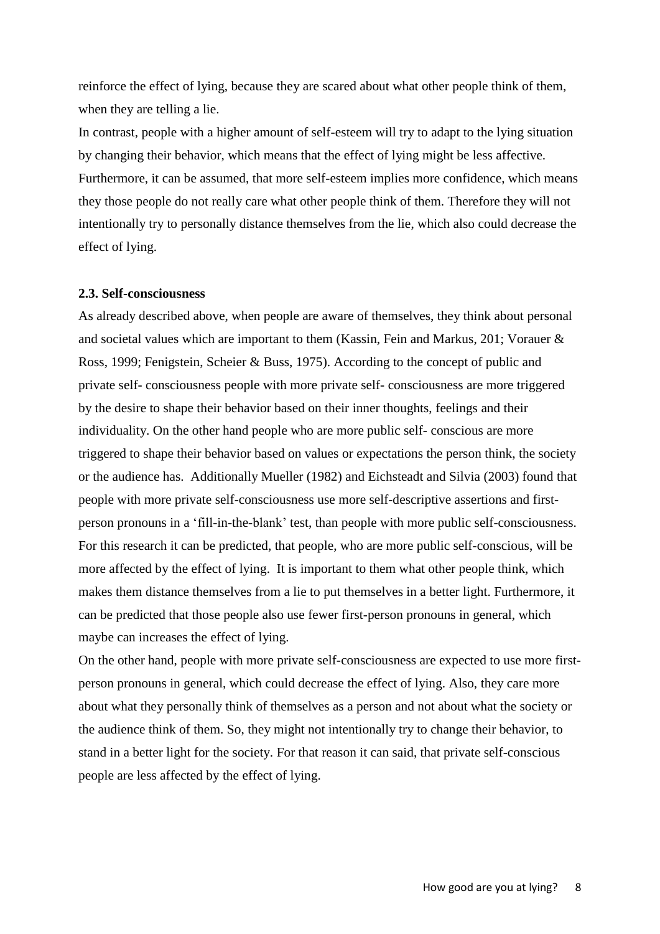reinforce the effect of lying, because they are scared about what other people think of them, when they are telling a lie.

In contrast, people with a higher amount of self-esteem will try to adapt to the lying situation by changing their behavior, which means that the effect of lying might be less affective. Furthermore, it can be assumed, that more self-esteem implies more confidence, which means they those people do not really care what other people think of them. Therefore they will not intentionally try to personally distance themselves from the lie, which also could decrease the effect of lying.

#### **2.3. Self-consciousness**

As already described above, when people are aware of themselves, they think about personal and societal values which are important to them (Kassin, Fein and Markus, 201; Vorauer & Ross, 1999; Fenigstein, Scheier & Buss, 1975). According to the concept of public and private self- consciousness people with more private self- consciousness are more triggered by the desire to shape their behavior based on their inner thoughts, feelings and their individuality. On the other hand people who are more public self- conscious are more triggered to shape their behavior based on values or expectations the person think, the society or the audience has. Additionally Mueller (1982) and Eichsteadt and Silvia (2003) found that people with more private self-consciousness use more self-descriptive assertions and firstperson pronouns in a 'fill-in-the-blank' test, than people with more public self-consciousness. For this research it can be predicted, that people, who are more public self-conscious, will be more affected by the effect of lying. It is important to them what other people think, which makes them distance themselves from a lie to put themselves in a better light. Furthermore, it can be predicted that those people also use fewer first-person pronouns in general, which maybe can increases the effect of lying.

On the other hand, people with more private self-consciousness are expected to use more firstperson pronouns in general, which could decrease the effect of lying. Also, they care more about what they personally think of themselves as a person and not about what the society or the audience think of them. So, they might not intentionally try to change their behavior, to stand in a better light for the society. For that reason it can said, that private self-conscious people are less affected by the effect of lying.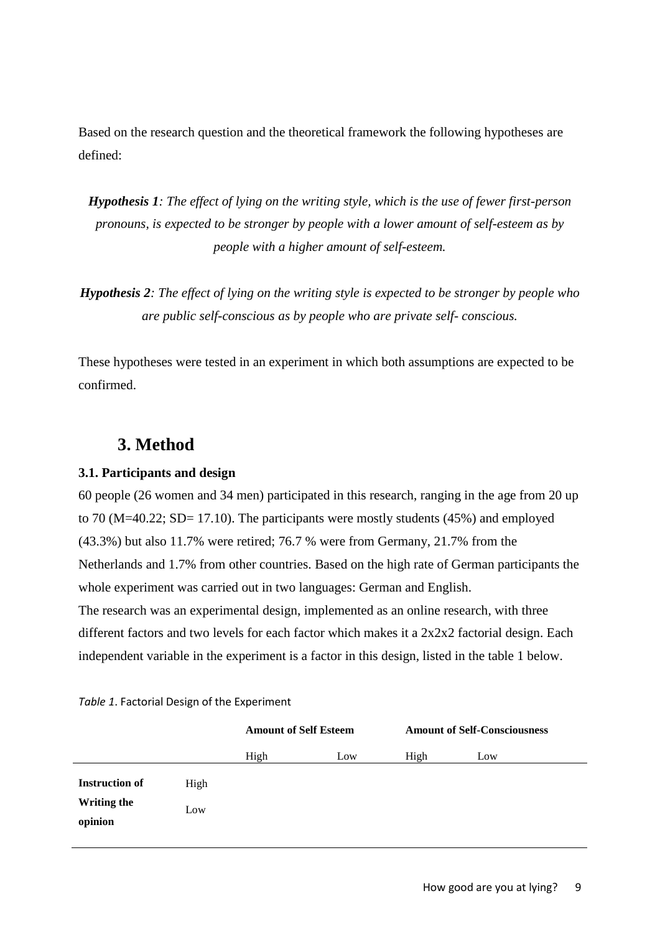Based on the research question and the theoretical framework the following hypotheses are defined:

*Hypothesis 1: The effect of lying on the writing style, which is the use of fewer first-person pronouns, is expected to be stronger by people with a lower amount of self-esteem as by people with a higher amount of self-esteem.*

*Hypothesis 2: The effect of lying on the writing style is expected to be stronger by people who are public self-conscious as by people who are private self- conscious.*

These hypotheses were tested in an experiment in which both assumptions are expected to be confirmed.

## **3. Method**

#### **3.1. Participants and design**

60 people (26 women and 34 men) participated in this research, ranging in the age from 20 up to 70 (M=40.22; SD= 17.10). The participants were mostly students (45%) and employed (43.3%) but also 11.7% were retired; 76.7 % were from Germany, 21.7% from the Netherlands and 1.7% from other countries. Based on the high rate of German participants the whole experiment was carried out in two languages: German and English. The research was an experimental design, implemented as an online research, with three different factors and two levels for each factor which makes it a 2x2x2 factorial design. Each independent variable in the experiment is a factor in this design, listed in the table 1 below.

|                                                 |             | <b>Amount of Self Esteem</b> |     | <b>Amount of Self-Consciousness</b> |     |  |
|-------------------------------------------------|-------------|------------------------------|-----|-------------------------------------|-----|--|
|                                                 |             | High                         | Low | High                                | Low |  |
| <b>Instruction of</b><br>Writing the<br>opinion | High<br>Low |                              |     |                                     |     |  |

*Table 1*. Factorial Design of the Experiment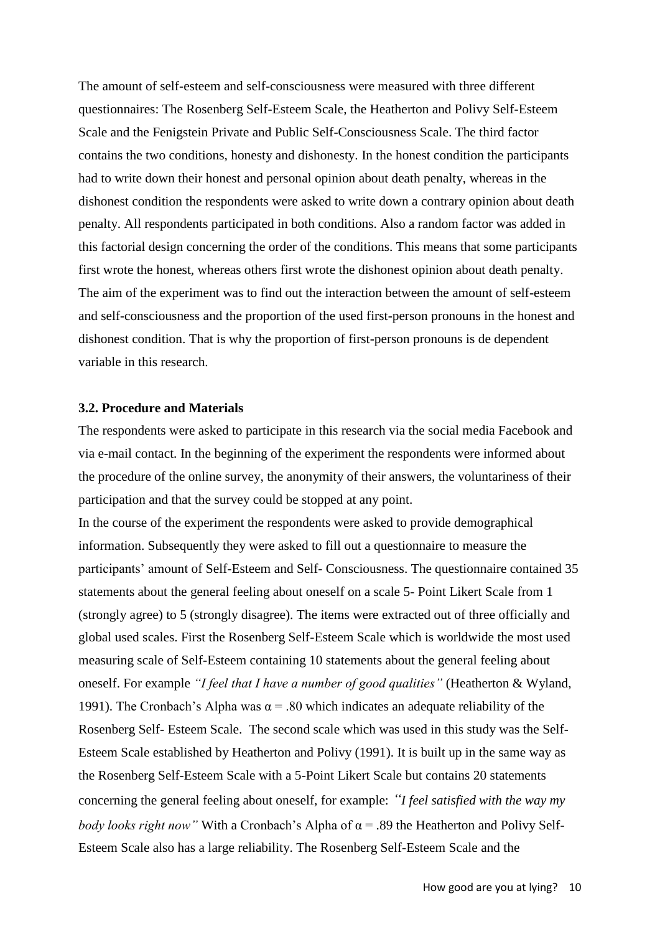The amount of self-esteem and self-consciousness were measured with three different questionnaires: The Rosenberg Self-Esteem Scale, the Heatherton and Polivy Self-Esteem Scale and the Fenigstein Private and Public Self-Consciousness Scale. The third factor contains the two conditions, honesty and dishonesty. In the honest condition the participants had to write down their honest and personal opinion about death penalty, whereas in the dishonest condition the respondents were asked to write down a contrary opinion about death penalty. All respondents participated in both conditions. Also a random factor was added in this factorial design concerning the order of the conditions. This means that some participants first wrote the honest, whereas others first wrote the dishonest opinion about death penalty. The aim of the experiment was to find out the interaction between the amount of self-esteem and self-consciousness and the proportion of the used first-person pronouns in the honest and dishonest condition. That is why the proportion of first-person pronouns is de dependent variable in this research.

#### **3.2. Procedure and Materials**

The respondents were asked to participate in this research via the social media Facebook and via e-mail contact. In the beginning of the experiment the respondents were informed about the procedure of the online survey, the anonymity of their answers, the voluntariness of their participation and that the survey could be stopped at any point.

In the course of the experiment the respondents were asked to provide demographical information. Subsequently they were asked to fill out a questionnaire to measure the participants' amount of Self-Esteem and Self- Consciousness. The questionnaire contained 35 statements about the general feeling about oneself on a scale 5- Point Likert Scale from 1 (strongly agree) to 5 (strongly disagree). The items were extracted out of three officially and global used scales. First the Rosenberg Self-Esteem Scale which is worldwide the most used measuring scale of Self-Esteem containing 10 statements about the general feeling about oneself. For example *"I feel that I have a number of good qualities"* (Heatherton & Wyland, 1991). The Cronbach's Alpha was  $\alpha$  = .80 which indicates an adequate reliability of the Rosenberg Self- Esteem Scale. The second scale which was used in this study was the Self-Esteem Scale established by Heatherton and Polivy (1991). It is built up in the same way as the Rosenberg Self-Esteem Scale with a 5-Point Likert Scale but contains 20 statements concerning the general feeling about oneself, for example: *"I feel satisfied with the way my body looks right now"* With a Cronbach's Alpha of α = .89 the Heatherton and Polivy Self-Esteem Scale also has a large reliability. The Rosenberg Self-Esteem Scale and the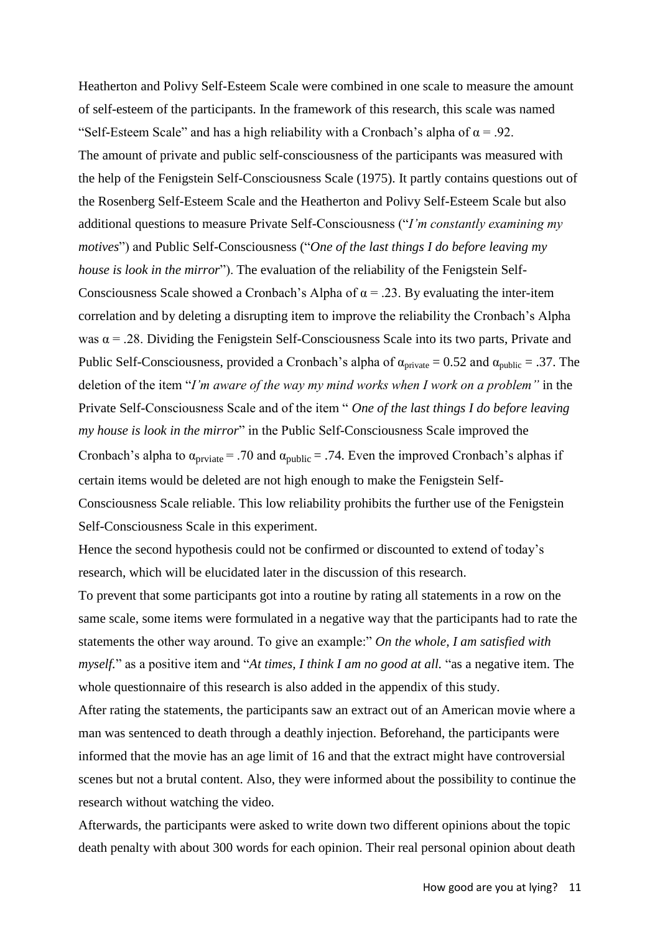Heatherton and Polivy Self-Esteem Scale were combined in one scale to measure the amount of self-esteem of the participants. In the framework of this research, this scale was named "Self-Esteem Scale" and has a high reliability with a Cronbach's alpha of  $\alpha$  = .92. The amount of private and public self-consciousness of the participants was measured with the help of the Fenigstein Self-Consciousness Scale (1975). It partly contains questions out of the Rosenberg Self-Esteem Scale and the Heatherton and Polivy Self-Esteem Scale but also additional questions to measure Private Self-Consciousness ("*I'm constantly examining my motives*") and Public Self-Consciousness ("*One of the last things I do before leaving my house is look in the mirror*"). The evaluation of the reliability of the Fenigstein Self-Consciousness Scale showed a Cronbach's Alpha of  $\alpha$  = .23. By evaluating the inter-item correlation and by deleting a disrupting item to improve the reliability the Cronbach's Alpha was  $\alpha$  = .28. Dividing the Fenigstein Self-Consciousness Scale into its two parts, Private and Public Self-Consciousness, provided a Cronbach's alpha of  $\alpha_{\text{private}} = 0.52$  and  $\alpha_{\text{public}} = .37$ . The deletion of the item "*I'm aware of the way my mind works when I work on a problem"* in the Private Self-Consciousness Scale and of the item " *One of the last things I do before leaving my house is look in the mirror*" in the Public Self-Consciousness Scale improved the Cronbach's alpha to  $\alpha_{\text{private}}$  = .70 and  $\alpha_{\text{public}}$  = .74. Even the improved Cronbach's alphas if certain items would be deleted are not high enough to make the Fenigstein Self-Consciousness Scale reliable. This low reliability prohibits the further use of the Fenigstein Self-Consciousness Scale in this experiment.

Hence the second hypothesis could not be confirmed or discounted to extend of today's research, which will be elucidated later in the discussion of this research.

To prevent that some participants got into a routine by rating all statements in a row on the same scale, some items were formulated in a negative way that the participants had to rate the statements the other way around. To give an example:" *On the whole, I am satisfied with myself.*" as a positive item and "*At times, I think I am no good at all.* "as a negative item. The whole questionnaire of this research is also added in the appendix of this study.

After rating the statements, the participants saw an extract out of an American movie where a man was sentenced to death through a deathly injection. Beforehand, the participants were informed that the movie has an age limit of 16 and that the extract might have controversial scenes but not a brutal content. Also, they were informed about the possibility to continue the research without watching the video.

Afterwards, the participants were asked to write down two different opinions about the topic death penalty with about 300 words for each opinion. Their real personal opinion about death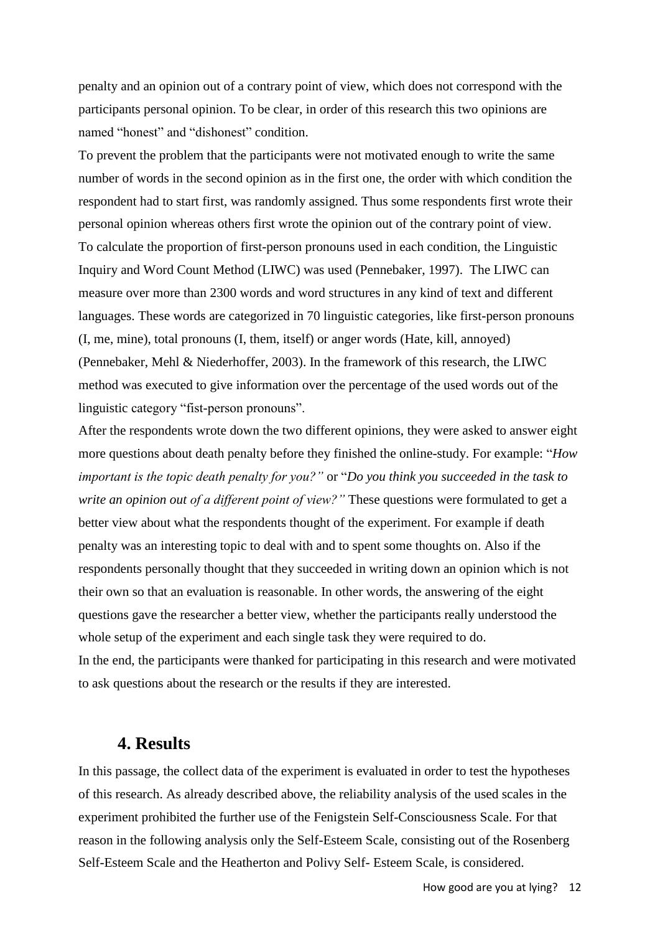penalty and an opinion out of a contrary point of view, which does not correspond with the participants personal opinion. To be clear, in order of this research this two opinions are named "honest" and "dishonest" condition.

To prevent the problem that the participants were not motivated enough to write the same number of words in the second opinion as in the first one, the order with which condition the respondent had to start first, was randomly assigned. Thus some respondents first wrote their personal opinion whereas others first wrote the opinion out of the contrary point of view. To calculate the proportion of first-person pronouns used in each condition, the Linguistic Inquiry and Word Count Method (LIWC) was used (Pennebaker, 1997). The LIWC can measure over more than 2300 words and word structures in any kind of text and different languages. These words are categorized in 70 linguistic categories, like first-person pronouns (I, me, mine), total pronouns (I, them, itself) or anger words (Hate, kill, annoyed) (Pennebaker, Mehl & Niederhoffer, 2003). In the framework of this research, the LIWC method was executed to give information over the percentage of the used words out of the linguistic category "fist-person pronouns".

After the respondents wrote down the two different opinions, they were asked to answer eight more questions about death penalty before they finished the online-study. For example: "*How important is the topic death penalty for you?"* or "*Do you think you succeeded in the task to write an opinion out of a different point of view?*" These questions were formulated to get a better view about what the respondents thought of the experiment. For example if death penalty was an interesting topic to deal with and to spent some thoughts on. Also if the respondents personally thought that they succeeded in writing down an opinion which is not their own so that an evaluation is reasonable. In other words, the answering of the eight questions gave the researcher a better view, whether the participants really understood the whole setup of the experiment and each single task they were required to do. In the end, the participants were thanked for participating in this research and were motivated to ask questions about the research or the results if they are interested.

#### **4. Results**

In this passage, the collect data of the experiment is evaluated in order to test the hypotheses of this research. As already described above, the reliability analysis of the used scales in the experiment prohibited the further use of the Fenigstein Self-Consciousness Scale. For that reason in the following analysis only the Self-Esteem Scale, consisting out of the Rosenberg Self-Esteem Scale and the Heatherton and Polivy Self- Esteem Scale, is considered.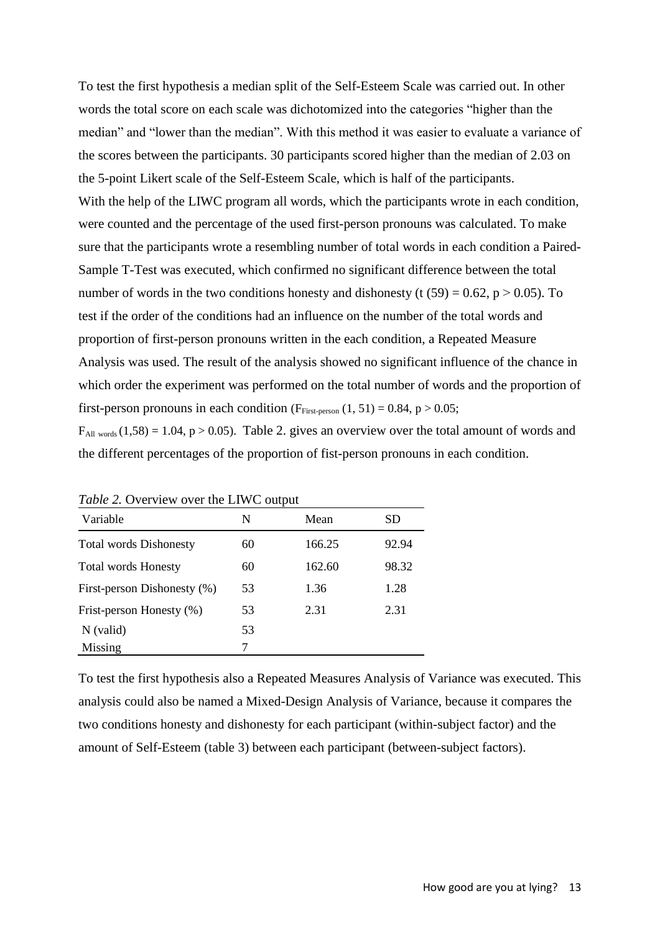To test the first hypothesis a median split of the Self-Esteem Scale was carried out. In other words the total score on each scale was dichotomized into the categories "higher than the median" and "lower than the median". With this method it was easier to evaluate a variance of the scores between the participants. 30 participants scored higher than the median of 2.03 on the 5-point Likert scale of the Self-Esteem Scale, which is half of the participants. With the help of the LIWC program all words, which the participants wrote in each condition, were counted and the percentage of the used first-person pronouns was calculated. To make sure that the participants wrote a resembling number of total words in each condition a Paired-Sample T-Test was executed, which confirmed no significant difference between the total number of words in the two conditions honesty and dishonesty (t  $(59) = 0.62$ ,  $p > 0.05$ ). To test if the order of the conditions had an influence on the number of the total words and proportion of first-person pronouns written in the each condition, a Repeated Measure Analysis was used. The result of the analysis showed no significant influence of the chance in which order the experiment was performed on the total number of words and the proportion of first-person pronouns in each condition ( $F<sub>First-person</sub>$  (1, 51) = 0.84, p > 0.05;

 $F_{\text{All words}}(1,58) = 1.04$ , p > 0.05). Table 2. gives an overview over the total amount of words and the different percentages of the proportion of fist-person pronouns in each condition.

| <i>Lable 2</i> . Overview over the LIWC output |    |        |       |  |  |  |  |
|------------------------------------------------|----|--------|-------|--|--|--|--|
| Variable                                       | N  | Mean   | SD    |  |  |  |  |
| <b>Total words Dishonesty</b>                  | 60 | 166.25 | 92.94 |  |  |  |  |
| <b>Total words Honesty</b>                     | 60 | 162.60 | 98.32 |  |  |  |  |
| First-person Dishonesty (%)                    | 53 | 1.36   | 1.28  |  |  |  |  |
| Frist-person Honesty (%)                       | 53 | 2.31   | 2.31  |  |  |  |  |
| $N$ (valid)                                    | 53 |        |       |  |  |  |  |
| Missing                                        | 7  |        |       |  |  |  |  |

*Table 2.* Overview over the LIWC output

To test the first hypothesis also a Repeated Measures Analysis of Variance was executed. This analysis could also be named a Mixed-Design Analysis of Variance, because it compares the two conditions honesty and dishonesty for each participant (within-subject factor) and the amount of Self-Esteem (table 3) between each participant (between-subject factors).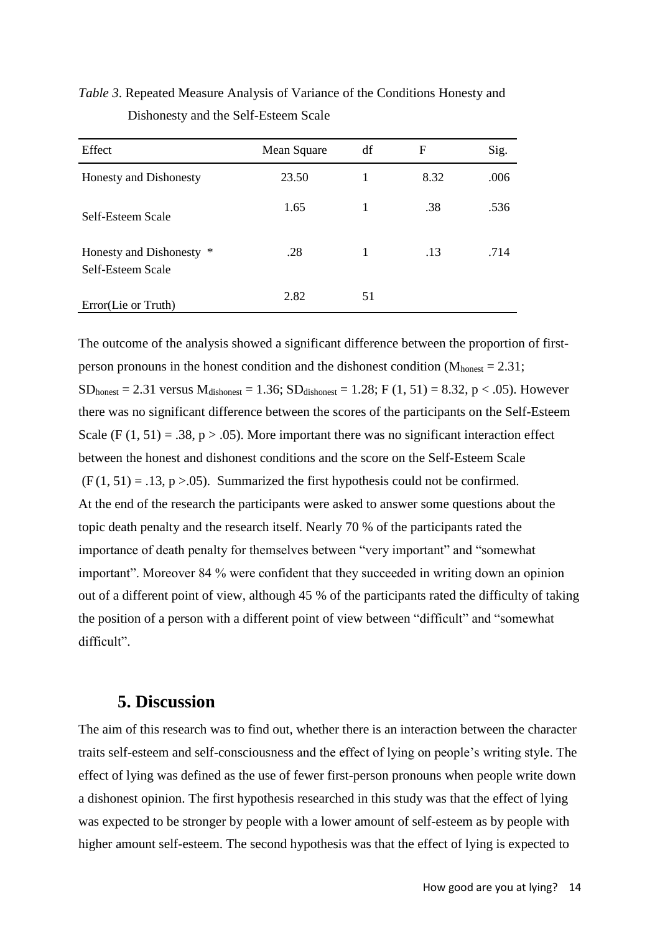## *Table 3*. Repeated Measure Analysis of Variance of the Conditions Honesty and Dishonesty and the Self-Esteem Scale

| Effect                                        | Mean Square | df | F    | Sig. |
|-----------------------------------------------|-------------|----|------|------|
| Honesty and Dishonesty                        | 23.50       |    | 8.32 | .006 |
| Self-Esteem Scale                             | 1.65        |    | .38  | .536 |
| Honesty and Dishonesty *<br>Self-Esteem Scale | .28         | 1  | .13  | .714 |
| Error(Lie or Truth)                           | 2.82        | 51 |      |      |

The outcome of the analysis showed a significant difference between the proportion of firstperson pronouns in the honest condition and the dishonest condition  $(M<sub>honest</sub> = 2.31)$ ;  $SD_{honest} = 2.31$  versus  $M_{dishonest} = 1.36$ ;  $SD_{dishonest} = 1.28$ ;  $F(1, 51) = 8.32$ ,  $p < .05$ ). However there was no significant difference between the scores of the participants on the Self-Esteem Scale (F  $(1, 51) = .38$ , p > .05). More important there was no significant interaction effect between the honest and dishonest conditions and the score on the Self-Esteem Scale  $(F(1, 51) = .13, p > .05)$ . Summarized the first hypothesis could not be confirmed. At the end of the research the participants were asked to answer some questions about the topic death penalty and the research itself. Nearly 70 % of the participants rated the importance of death penalty for themselves between "very important" and "somewhat important". Moreover 84 % were confident that they succeeded in writing down an opinion out of a different point of view, although 45 % of the participants rated the difficulty of taking the position of a person with a different point of view between "difficult" and "somewhat difficult".

### **5. Discussion**

The aim of this research was to find out, whether there is an interaction between the character traits self-esteem and self-consciousness and the effect of lying on people's writing style. The effect of lying was defined as the use of fewer first-person pronouns when people write down a dishonest opinion. The first hypothesis researched in this study was that the effect of lying was expected to be stronger by people with a lower amount of self-esteem as by people with higher amount self-esteem. The second hypothesis was that the effect of lying is expected to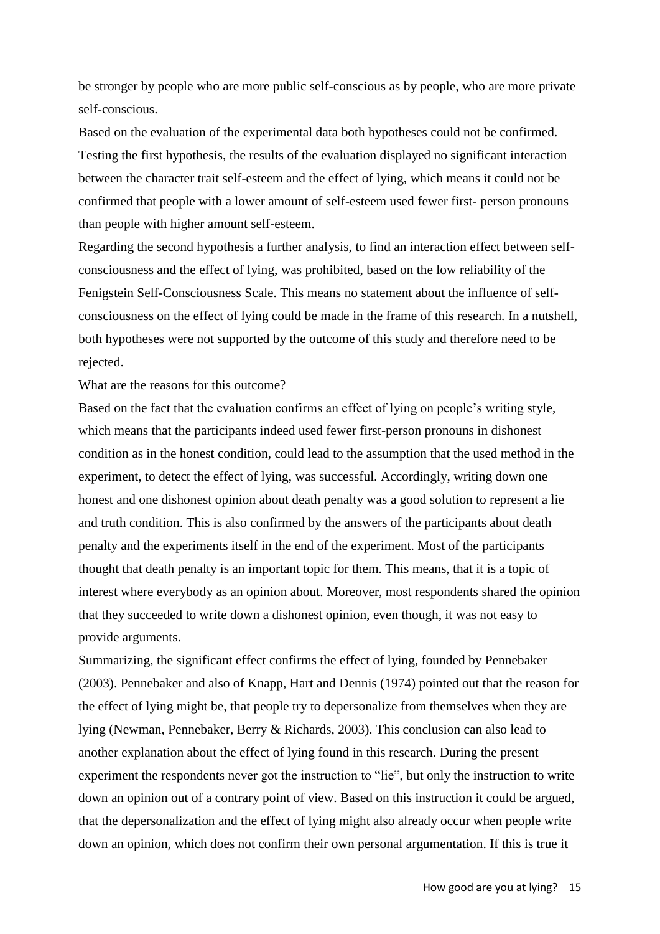be stronger by people who are more public self-conscious as by people, who are more private self-conscious.

Based on the evaluation of the experimental data both hypotheses could not be confirmed. Testing the first hypothesis, the results of the evaluation displayed no significant interaction between the character trait self-esteem and the effect of lying, which means it could not be confirmed that people with a lower amount of self-esteem used fewer first- person pronouns than people with higher amount self-esteem.

Regarding the second hypothesis a further analysis, to find an interaction effect between selfconsciousness and the effect of lying, was prohibited, based on the low reliability of the Fenigstein Self-Consciousness Scale. This means no statement about the influence of selfconsciousness on the effect of lying could be made in the frame of this research. In a nutshell, both hypotheses were not supported by the outcome of this study and therefore need to be rejected.

What are the reasons for this outcome?

Based on the fact that the evaluation confirms an effect of lying on people's writing style, which means that the participants indeed used fewer first-person pronouns in dishonest condition as in the honest condition, could lead to the assumption that the used method in the experiment, to detect the effect of lying, was successful. Accordingly, writing down one honest and one dishonest opinion about death penalty was a good solution to represent a lie and truth condition. This is also confirmed by the answers of the participants about death penalty and the experiments itself in the end of the experiment. Most of the participants thought that death penalty is an important topic for them. This means, that it is a topic of interest where everybody as an opinion about. Moreover, most respondents shared the opinion that they succeeded to write down a dishonest opinion, even though, it was not easy to provide arguments.

Summarizing, the significant effect confirms the effect of lying, founded by Pennebaker (2003). Pennebaker and also of Knapp, Hart and Dennis (1974) pointed out that the reason for the effect of lying might be, that people try to depersonalize from themselves when they are lying (Newman, Pennebaker, Berry & Richards, 2003). This conclusion can also lead to another explanation about the effect of lying found in this research. During the present experiment the respondents never got the instruction to "lie", but only the instruction to write down an opinion out of a contrary point of view. Based on this instruction it could be argued, that the depersonalization and the effect of lying might also already occur when people write down an opinion, which does not confirm their own personal argumentation. If this is true it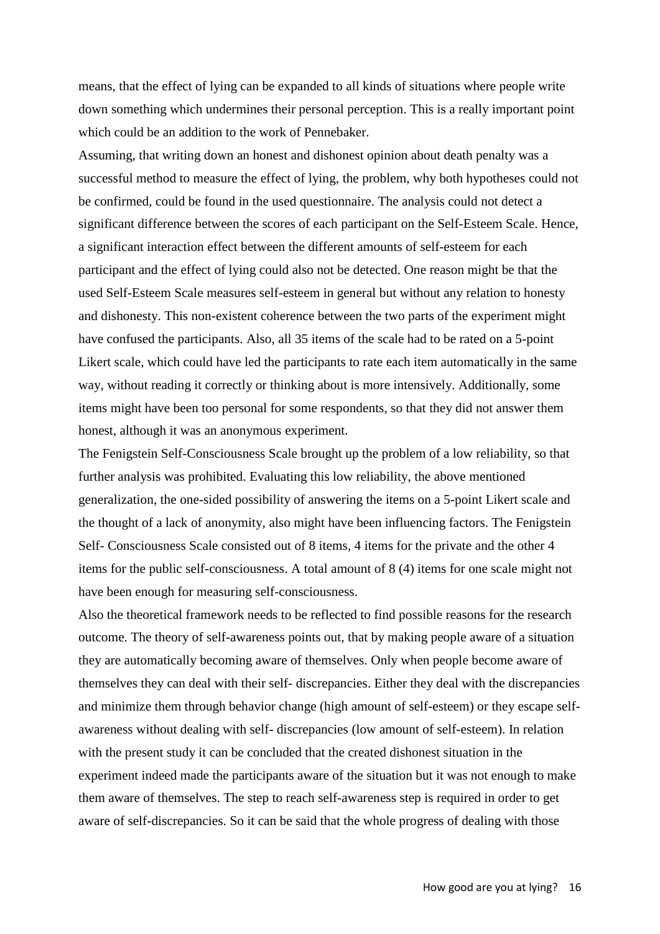means, that the effect of lying can be expanded to all kinds of situations where people write down something which undermines their personal perception. This is a really important point which could be an addition to the work of Pennebaker.

Assuming, that writing down an honest and dishonest opinion about death penalty was a successful method to measure the effect of lying, the problem, why both hypotheses could not be confirmed, could be found in the used questionnaire. The analysis could not detect a significant difference between the scores of each participant on the Self-Esteem Scale. Hence, a significant interaction effect between the different amounts of self-esteem for each participant and the effect of lying could also not be detected. One reason might be that the used Self-Esteem Scale measures self-esteem in general but without any relation to honesty and dishonesty. This non-existent coherence between the two parts of the experiment might have confused the participants. Also, all 35 items of the scale had to be rated on a 5-point Likert scale, which could have led the participants to rate each item automatically in the same way, without reading it correctly or thinking about is more intensively. Additionally, some items might have been too personal for some respondents, so that they did not answer them honest, although it was an anonymous experiment.

The Fenigstein Self-Consciousness Scale brought up the problem of a low reliability, so that further analysis was prohibited. Evaluating this low reliability, the above mentioned generalization, the one-sided possibility of answering the items on a 5-point Likert scale and the thought of a lack of anonymity, also might have been influencing factors. The Fenigstein Self- Consciousness Scale consisted out of 8 items, 4 items for the private and the other 4 items for the public self-consciousness. A total amount of 8 (4) items for one scale might not have been enough for measuring self-consciousness.

Also the theoretical framework needs to be reflected to find possible reasons for the research outcome. The theory of self-awareness points out, that by making people aware of a situation they are automatically becoming aware of themselves. Only when people become aware of themselves they can deal with their self- discrepancies. Either they deal with the discrepancies and minimize them through behavior change (high amount of self-esteem) or they escape selfawareness without dealing with self- discrepancies (low amount of self-esteem). In relation with the present study it can be concluded that the created dishonest situation in the experiment indeed made the participants aware of the situation but it was not enough to make them aware of themselves. The step to reach self-awareness step is required in order to get aware of self-discrepancies. So it can be said that the whole progress of dealing with those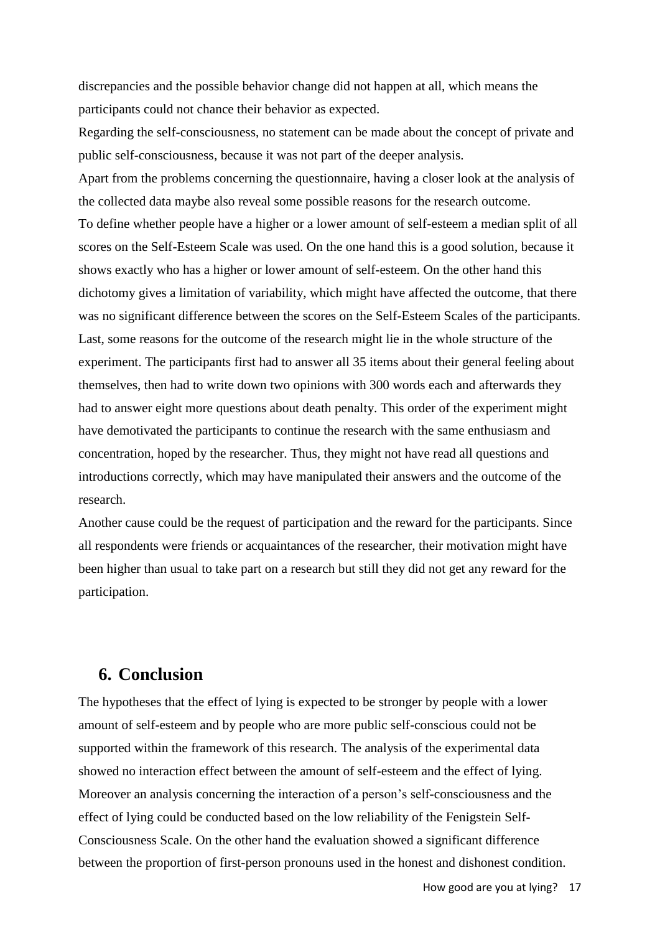discrepancies and the possible behavior change did not happen at all, which means the participants could not chance their behavior as expected.

Regarding the self-consciousness, no statement can be made about the concept of private and public self-consciousness, because it was not part of the deeper analysis.

Apart from the problems concerning the questionnaire, having a closer look at the analysis of the collected data maybe also reveal some possible reasons for the research outcome. To define whether people have a higher or a lower amount of self-esteem a median split of all scores on the Self-Esteem Scale was used. On the one hand this is a good solution, because it shows exactly who has a higher or lower amount of self-esteem. On the other hand this dichotomy gives a limitation of variability, which might have affected the outcome, that there was no significant difference between the scores on the Self-Esteem Scales of the participants. Last, some reasons for the outcome of the research might lie in the whole structure of the experiment. The participants first had to answer all 35 items about their general feeling about themselves, then had to write down two opinions with 300 words each and afterwards they had to answer eight more questions about death penalty. This order of the experiment might have demotivated the participants to continue the research with the same enthusiasm and concentration, hoped by the researcher. Thus, they might not have read all questions and introductions correctly, which may have manipulated their answers and the outcome of the research.

Another cause could be the request of participation and the reward for the participants. Since all respondents were friends or acquaintances of the researcher, their motivation might have been higher than usual to take part on a research but still they did not get any reward for the participation.

## **6. Conclusion**

The hypotheses that the effect of lying is expected to be stronger by people with a lower amount of self-esteem and by people who are more public self-conscious could not be supported within the framework of this research. The analysis of the experimental data showed no interaction effect between the amount of self-esteem and the effect of lying. Moreover an analysis concerning the interaction of a person's self-consciousness and the effect of lying could be conducted based on the low reliability of the Fenigstein Self-Consciousness Scale. On the other hand the evaluation showed a significant difference between the proportion of first-person pronouns used in the honest and dishonest condition.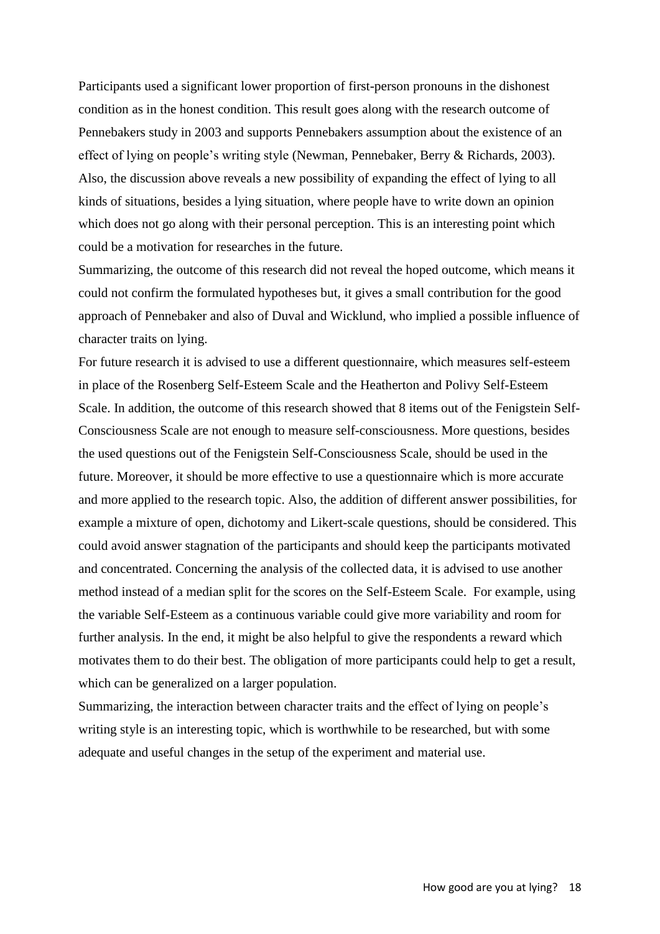Participants used a significant lower proportion of first-person pronouns in the dishonest condition as in the honest condition. This result goes along with the research outcome of Pennebakers study in 2003 and supports Pennebakers assumption about the existence of an effect of lying on people's writing style (Newman, Pennebaker, Berry & Richards, 2003). Also, the discussion above reveals a new possibility of expanding the effect of lying to all kinds of situations, besides a lying situation, where people have to write down an opinion which does not go along with their personal perception. This is an interesting point which could be a motivation for researches in the future.

Summarizing, the outcome of this research did not reveal the hoped outcome, which means it could not confirm the formulated hypotheses but, it gives a small contribution for the good approach of Pennebaker and also of Duval and Wicklund, who implied a possible influence of character traits on lying.

For future research it is advised to use a different questionnaire, which measures self-esteem in place of the Rosenberg Self-Esteem Scale and the Heatherton and Polivy Self-Esteem Scale. In addition, the outcome of this research showed that 8 items out of the Fenigstein Self-Consciousness Scale are not enough to measure self-consciousness. More questions, besides the used questions out of the Fenigstein Self-Consciousness Scale, should be used in the future. Moreover, it should be more effective to use a questionnaire which is more accurate and more applied to the research topic. Also, the addition of different answer possibilities, for example a mixture of open, dichotomy and Likert-scale questions, should be considered. This could avoid answer stagnation of the participants and should keep the participants motivated and concentrated. Concerning the analysis of the collected data, it is advised to use another method instead of a median split for the scores on the Self-Esteem Scale. For example, using the variable Self-Esteem as a continuous variable could give more variability and room for further analysis. In the end, it might be also helpful to give the respondents a reward which motivates them to do their best. The obligation of more participants could help to get a result, which can be generalized on a larger population.

Summarizing, the interaction between character traits and the effect of lying on people's writing style is an interesting topic, which is worthwhile to be researched, but with some adequate and useful changes in the setup of the experiment and material use.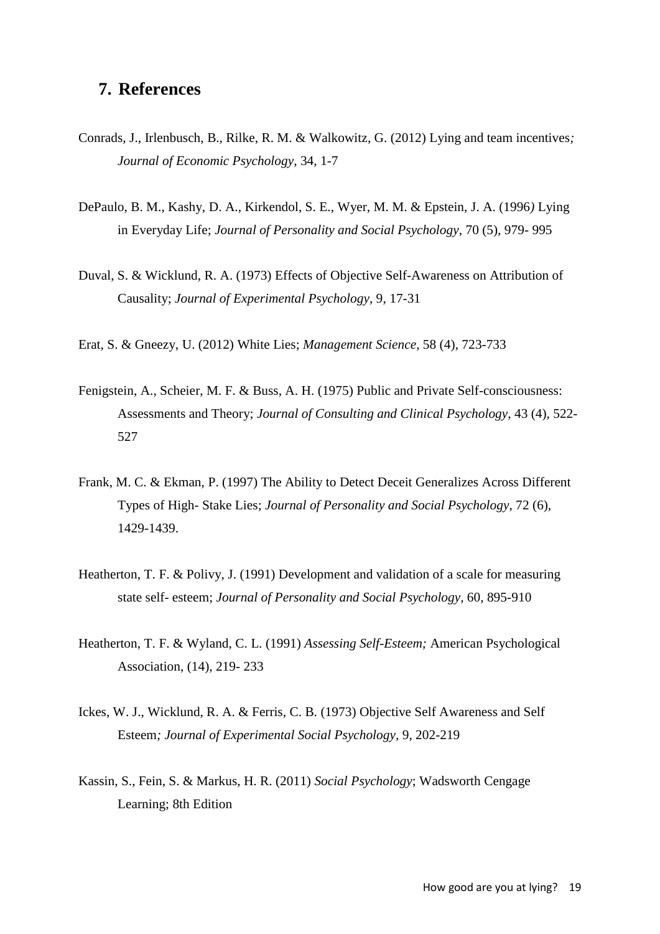## **7. References**

- Conrads, J., Irlenbusch, B., Rilke, R. M. & Walkowitz, G. (2012) Lying and team incentives*; Journal of Economic Psychology*, 34, 1-7
- DePaulo, B. M., Kashy, D. A., Kirkendol, S. E., Wyer, M. M. & Epstein, J. A. (1996*)* Lying in Everyday Life; *Journal of Personality and Social Psychology*, 70 (5), 979- 995
- Duval, S. & Wicklund, R. A. (1973) Effects of Objective Self-Awareness on Attribution of Causality; *Journal of Experimental Psychology*, 9, 17-31
- Erat, S. & Gneezy, U. (2012) White Lies; *Management Science*, 58 (4), 723-733
- Fenigstein, A., Scheier, M. F. & Buss, A. H. (1975) Public and Private Self-consciousness: Assessments and Theory; *Journal of Consulting and Clinical Psychology*, 43 (4), 522- 527
- Frank, M. C. & Ekman, P. (1997) The Ability to Detect Deceit Generalizes Across Different Types of High- Stake Lies; *Journal of Personality and Social Psychology*, 72 (6), 1429-1439.
- Heatherton, T. F. & Polivy, J. (1991) Development and validation of a scale for measuring state self- esteem; *Journal of Personality and Social Psychology,* 60, 895-910
- Heatherton, T. F. & Wyland, C. L. (1991) *Assessing Self-Esteem;* American Psychological Association, (14), 219- 233
- Ickes, W. J., Wicklund, R. A. & Ferris, C. B. (1973) Objective Self Awareness and Self Esteem*; Journal of Experimental Social Psychology,* 9, 202-219
- Kassin, S., Fein, S. & Markus, H. R. (2011) *Social Psychology*; Wadsworth Cengage Learning; 8th Edition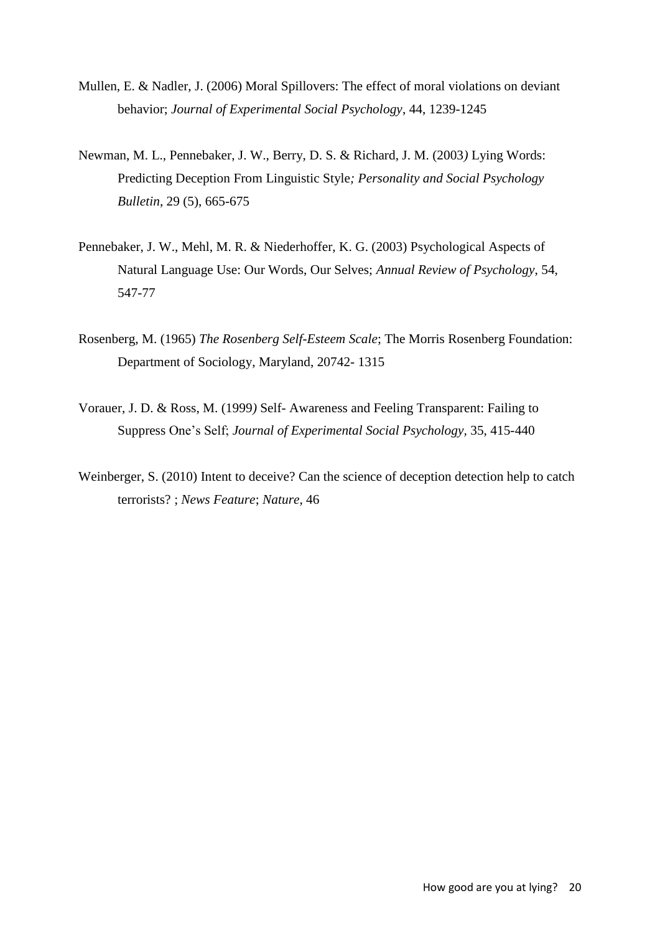- Mullen, E. & Nadler, J. (2006) Moral Spillovers: The effect of moral violations on deviant behavior; *Journal of Experimental Social Psychology*, 44, 1239-1245
- Newman, M. L., Pennebaker, J. W., Berry, D. S. & Richard, J. M. (2003*)* Lying Words: Predicting Deception From Linguistic Style*; Personality and Social Psychology Bulletin*, 29 (5), 665-675
- Pennebaker, J. W., Mehl, M. R. & Niederhoffer, K. G. (2003) Psychological Aspects of Natural Language Use: Our Words, Our Selves; *Annual Review of Psychology*, 54, 547-77
- Rosenberg, M. (1965) *The Rosenberg Self-Esteem Scale*; The Morris Rosenberg Foundation: Department of Sociology, Maryland, 20742- 1315
- Vorauer, J. D. & Ross, M. (1999*)* Self- Awareness and Feeling Transparent: Failing to Suppress One's Self; *Journal of Experimental Social Psychology,* 35, 415-440
- Weinberger, S. (2010) Intent to deceive? Can the science of deception detection help to catch terrorists? ; *News Feature*; *Nature*, 46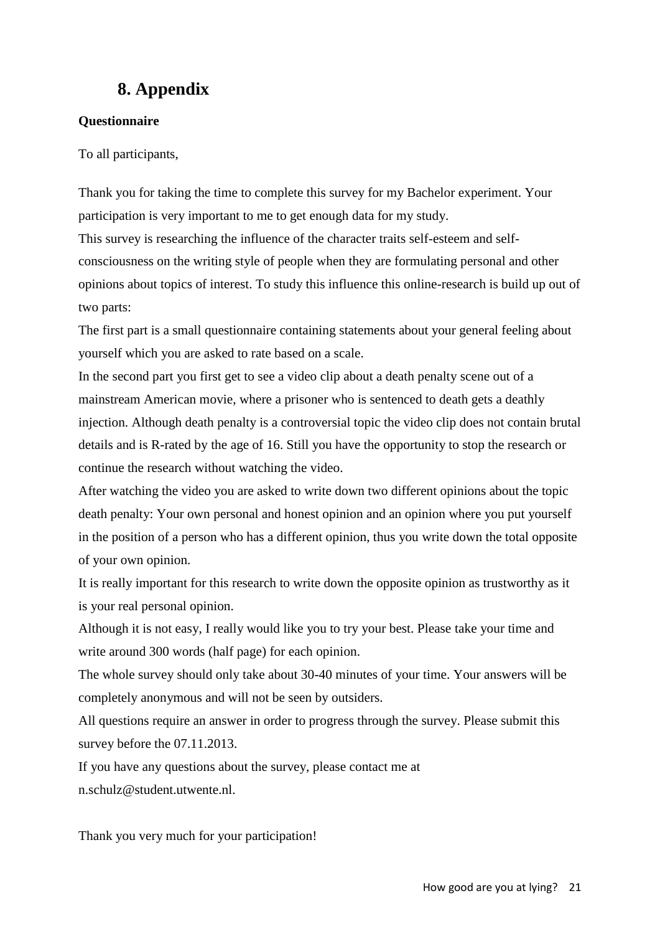## **8. Appendix**

#### **Questionnaire**

To all participants,

Thank you for taking the time to complete this survey for my Bachelor experiment. Your participation is very important to me to get enough data for my study.

This survey is researching the influence of the character traits self-esteem and selfconsciousness on the writing style of people when they are formulating personal and other opinions about topics of interest. To study this influence this online-research is build up out of two parts:

The first part is a small questionnaire containing statements about your general feeling about yourself which you are asked to rate based on a scale.

In the second part you first get to see a video clip about a death penalty scene out of a mainstream American movie, where a prisoner who is sentenced to death gets a deathly injection. Although death penalty is a controversial topic the video clip does not contain brutal details and is R-rated by the age of 16. Still you have the opportunity to stop the research or continue the research without watching the video.

After watching the video you are asked to write down two different opinions about the topic death penalty: Your own personal and honest opinion and an opinion where you put yourself in the position of a person who has a different opinion, thus you write down the total opposite of your own opinion.

It is really important for this research to write down the opposite opinion as trustworthy as it is your real personal opinion.

Although it is not easy, I really would like you to try your best. Please take your time and write around 300 words (half page) for each opinion.

The whole survey should only take about 30-40 minutes of your time. Your answers will be completely anonymous and will not be seen by outsiders.

All questions require an answer in order to progress through the survey. Please submit this survey before the 07.11.2013.

If you have any questions about the survey, please contact me at n.schulz@student.utwente.nl.

Thank you very much for your participation!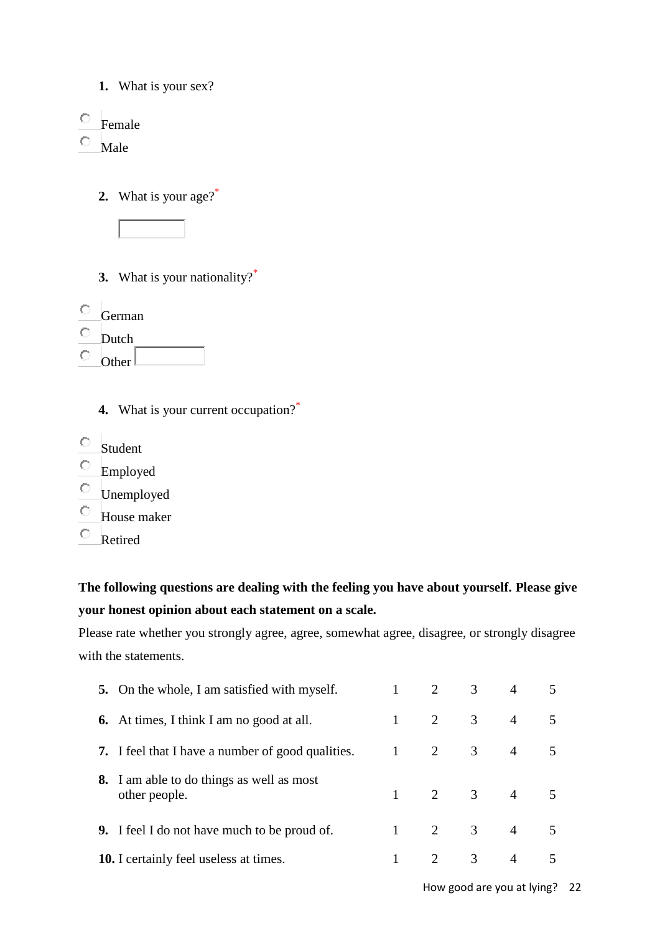- **1.** What is your sex?
- $\circ$  Female

 $\bullet$ Male

**2.** What is your age?\*



- **3.** What is your nationality?\*
- German
- 0. Dutch
- $\circ$ Other $\lfloor$ 
	- **4.** What is your current occupation?<sup>\*</sup>
- $\circ$  Student
- $\hfill\Box$  Employed
- $\circ$  Unemployed
- 0 House maker
- $\circ$ Retired

## **The following questions are dealing with the feeling you have about yourself. Please give your honest opinion about each statement on a scale.**

Please rate whether you strongly agree, agree, somewhat agree, disagree, or strongly disagree with the statements.

| <b>5.</b> On the whole, I am satisfied with myself.               | 2              | 3              | $\overline{4}$          |   |
|-------------------------------------------------------------------|----------------|----------------|-------------------------|---|
| <b>6.</b> At times, I think I am no good at all.                  | $\overline{2}$ | $\overline{3}$ | $\overline{4}$          | 5 |
| <b>7.</b> I feel that I have a number of good qualities.          | $\overline{2}$ | 3 <sup>7</sup> | $\overline{4}$          |   |
| <b>8.</b> I am able to do things as well as most<br>other people. |                |                | $1 \t 2 \t 3 \t 4 \t 5$ |   |
| <b>9.</b> I feel I do not have much to be proud of.               | $\overline{2}$ | 3 <sup>7</sup> | $\overline{4}$          |   |
| <b>10.</b> I certainly feel useless at times.                     | $\mathcal{L}$  | $\mathfrak{Z}$ | $\overline{4}$          |   |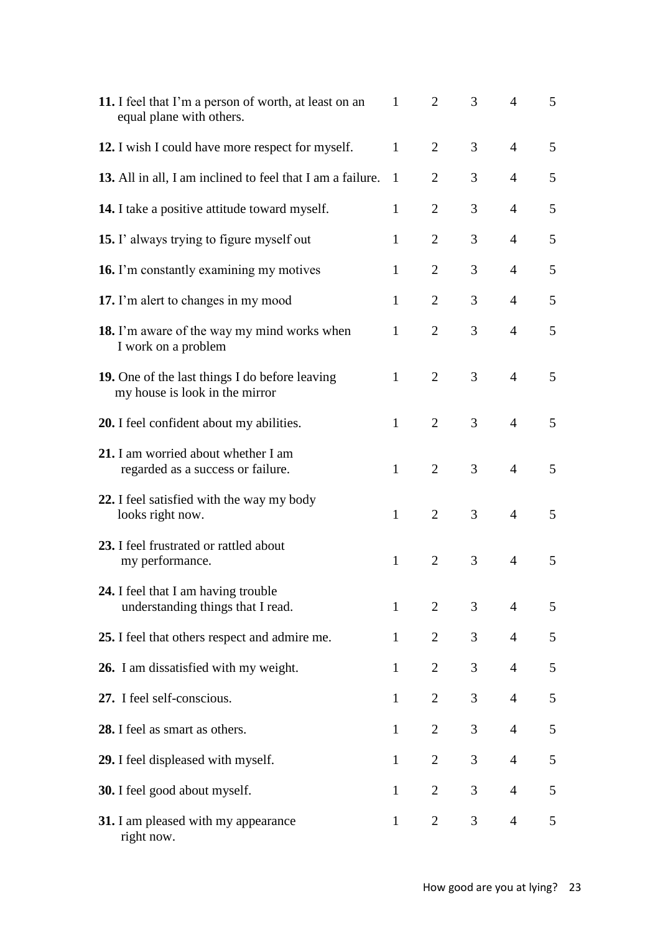| 11. I feel that I'm a person of worth, at least on an<br>equal plane with others. | 1            | $\overline{2}$ | 3              | 4              | 5 |
|-----------------------------------------------------------------------------------|--------------|----------------|----------------|----------------|---|
| 12. I wish I could have more respect for myself.                                  | $\mathbf{1}$ | 2              | 3              | $\overline{4}$ | 5 |
| 13. All in all, I am inclined to feel that I am a failure.                        | -1           | $\overline{2}$ | 3              | $\overline{4}$ | 5 |
| 14. I take a positive attitude toward myself.                                     | 1            | $\overline{2}$ | 3              | $\overline{4}$ | 5 |
| <b>15.</b> I' always trying to figure myself out                                  | $\mathbf{1}$ | $\overline{2}$ | 3              | $\overline{4}$ | 5 |
| 16. I'm constantly examining my motives                                           | $\mathbf{1}$ | $\overline{2}$ | 3              | $\overline{4}$ | 5 |
| 17. I'm alert to changes in my mood                                               | $\mathbf{1}$ | $\overline{2}$ | 3              | $\overline{4}$ | 5 |
| 18. I'm aware of the way my mind works when<br>I work on a problem                | $\mathbf{1}$ | $\overline{2}$ | 3              | $\overline{4}$ | 5 |
| 19. One of the last things I do before leaving<br>my house is look in the mirror  | $\mathbf{1}$ | 2              | 3              | $\overline{4}$ | 5 |
| 20. I feel confident about my abilities.                                          | $\mathbf{1}$ | $\overline{2}$ | 3              | $\overline{4}$ | 5 |
| 21. I am worried about whether I am<br>regarded as a success or failure.          | $\mathbf{1}$ | $\overline{2}$ | 3              | $\overline{4}$ | 5 |
| 22. I feel satisfied with the way my body<br>looks right now.                     | $\mathbf{1}$ | $\overline{2}$ | $\overline{3}$ | $\overline{4}$ | 5 |
| 23. I feel frustrated or rattled about<br>my performance.                         | $\mathbf{1}$ | $\overline{2}$ | $\overline{3}$ | $\overline{4}$ | 5 |
| 24. I feel that I am having trouble<br>understanding things that I read.          | $\mathbf{1}$ | $\overline{2}$ | $\mathfrak{Z}$ | $\overline{4}$ | 5 |
|                                                                                   |              |                |                |                |   |
| 25. I feel that others respect and admire me.                                     | $\mathbf{1}$ | $\overline{2}$ | 3 <sup>7</sup> | $\overline{4}$ | 5 |
| 26. I am dissatisfied with my weight.                                             | $\mathbf{1}$ | $\overline{2}$ | 3              | $\overline{4}$ | 5 |
| 27. I feel self-conscious.                                                        | $\mathbf{1}$ | $\overline{2}$ | 3              | $\overline{4}$ | 5 |
| 28. I feel as smart as others.                                                    | $\mathbf{1}$ | $\overline{2}$ | $\overline{3}$ | $\overline{4}$ | 5 |
| 29. I feel displeased with myself.                                                | $\mathbf{1}$ | $\overline{2}$ | $\overline{3}$ | $\overline{4}$ | 5 |
| 30. I feel good about myself.                                                     | $\mathbf{1}$ | $\overline{2}$ | $\mathfrak{Z}$ | $\overline{4}$ | 5 |
| 31. I am pleased with my appearance<br>right now.                                 | $\mathbf{1}$ | $\overline{2}$ | $\overline{3}$ | $\overline{4}$ | 5 |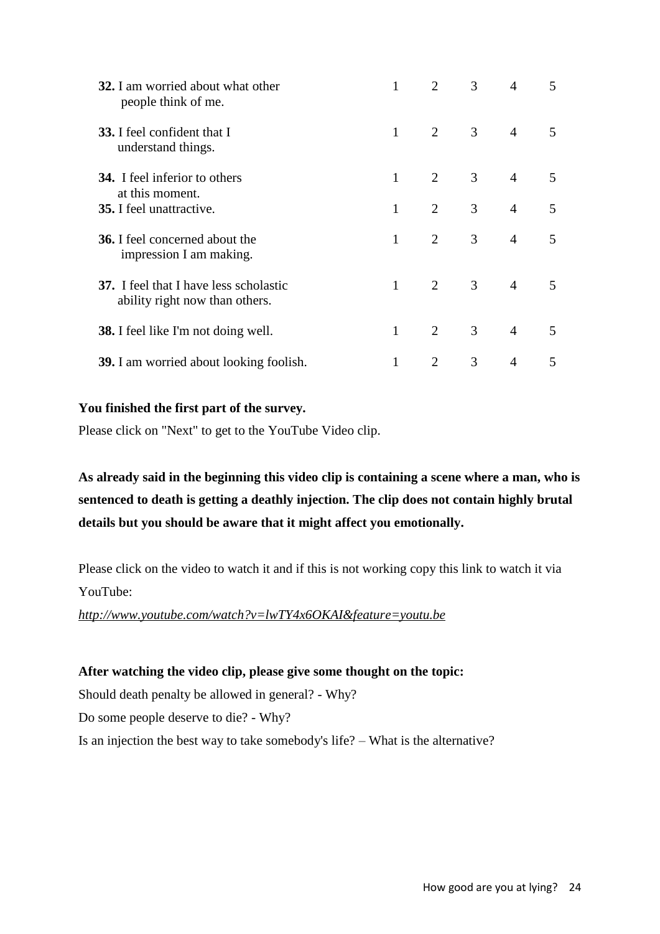| 32. I am worried about what other<br>people think of me.                        |              | $\mathcal{D}_{\mathcal{L}}$ | $\mathfrak{Z}$ | $\overline{4}$ | 5                        |
|---------------------------------------------------------------------------------|--------------|-----------------------------|----------------|----------------|--------------------------|
| <b>33.</b> I feel confident that I<br>understand things.                        | $\mathbf{1}$ | $\overline{2}$              | 3 <sup>7</sup> | $\overline{4}$ | 5                        |
| <b>34.</b> I feel inferior to others<br>at this moment.                         | $\mathbf{1}$ | $\overline{2}$              | 3 <sup>7</sup> | $\overline{4}$ | 5                        |
| <b>35.</b> I feel unattractive.                                                 | 1            | $\overline{2}$              | 3 <sup>7</sup> | $\overline{4}$ | 5                        |
| <b>36.</b> I feel concerned about the<br>impression I am making.                | 1            | $\overline{2}$              | 3 <sup>7</sup> | $\overline{4}$ | 5                        |
| <b>37.</b> I feel that I have less scholastic<br>ability right now than others. | 1            | $\overline{2}$              | 3 <sup>7</sup> | $\overline{4}$ | 5                        |
| <b>38.</b> I feel like I'm not doing well.                                      | 1            | $\mathcal{D}_{\mathcal{L}}$ | 3              | $\overline{4}$ | $\overline{\mathcal{L}}$ |
| <b>39.</b> I am worried about looking foolish.                                  |              | $\overline{2}$              | 3              | $\overline{4}$ | 5                        |

#### **You finished the first part of the survey.**

Please click on "Next" to get to the YouTube Video clip.

**As already said in the beginning this video clip is containing a scene where a man, who is sentenced to death is getting a deathly injection. The clip does not contain highly brutal details but you should be aware that it might affect you emotionally.**

Please click on the video to watch it and if this is not working copy this link to watch it via YouTube:

*http://www.youtube.com/watch?v=lwTY4x6OKAI&feature=youtu.be*

#### **After watching the video clip, please give some thought on the topic:**

Should death penalty be allowed in general? - Why?

Do some people deserve to die? - Why?

Is an injection the best way to take somebody's life? – What is the alternative?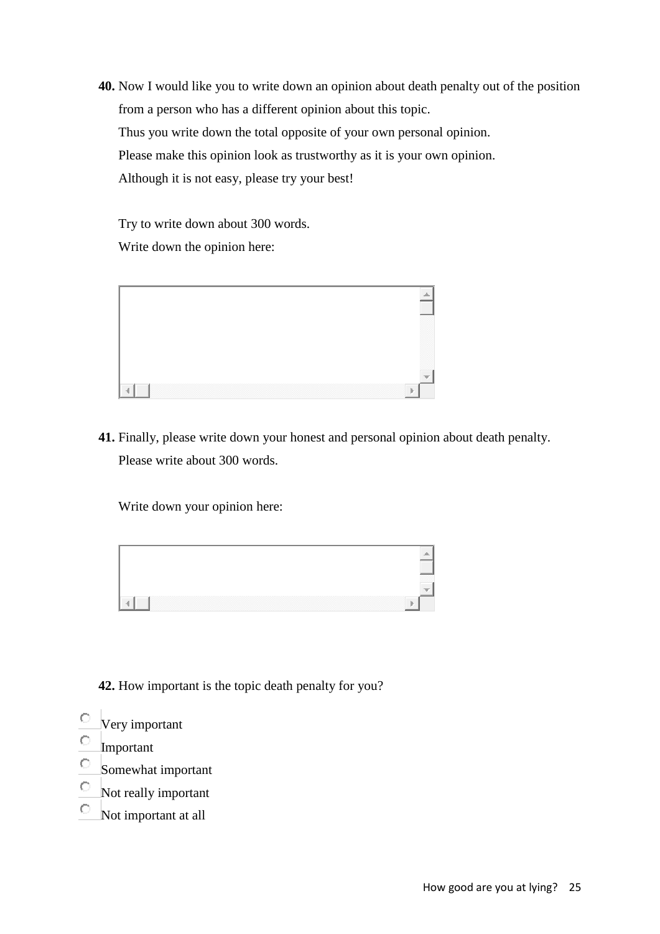**40.** Now I would like you to write down an opinion about death penalty out of the position from a person who has a different opinion about this topic. Thus you write down the total opposite of your own personal opinion. Please make this opinion look as trustworthy as it is your own opinion. Although it is not easy, please try your best!

Try to write down about 300 words. Write down the opinion here:



**41.** Finally, please write down your honest and personal opinion about death penalty. Please write about 300 words.

Write down your opinion here:



**42.** How important is the topic death penalty for you?

- $\circ$ Very important
- $\circ$ Important
- $\circ$ Somewhat important
- $\circ$ Not really important
- $\circ$ Not important at all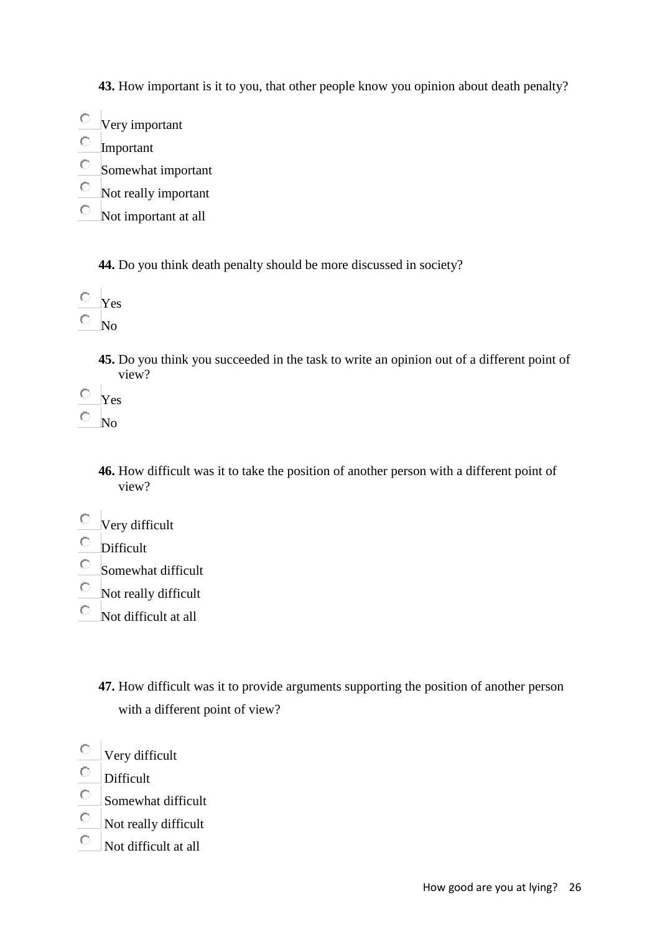**43.** How important is it to you, that other people know you opinion about death penalty?

- Very important
- $\bigcirc$ Important
- $\bigcirc$ Somewhat important
- $\bullet$ Not really important
- О. Not important at all

**44.** Do you think death penalty should be more discussed in society?

- $\overline{\circ}$  Yes
- $\overline{\circ}$  No

**45.** Do you think you succeeded in the task to write an opinion out of a different point of view?

- $\overline{\mathbf{y}}$  Yes
- $\overline{\circ}$  No

**46.** How difficult was it to take the position of another person with a different point of view?

- Very difficult
- $\circ$  Difficult
- $\circ$  Somewhat difficult
- Not really difficult
- $\circ$  Not difficult at all

**47.** How difficult was it to provide arguments supporting the position of another person with a different point of view?

- $\circ$ Very difficult
- 0. Difficult
- 0. Somewhat difficult
- $\circ$ Not really difficult
- $\circ$ Not difficult at all